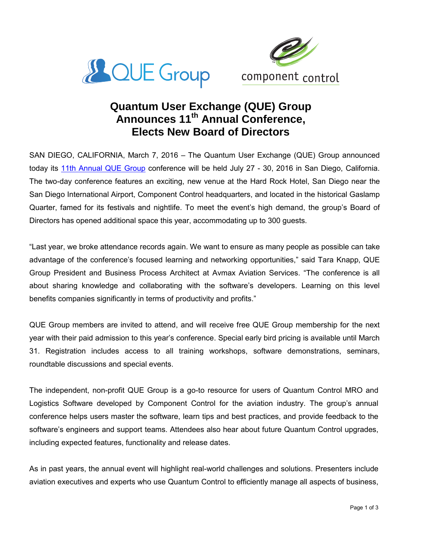



## **Quantum User Exchange (QUE) Group Announces 11th Annual Conference, Elects New Board of Directors**

SAN DIEGO, CALIFORNIA, March 7, 2016 – The Quantum User Exchange (QUE) Group announced today its [11th Annual QUE Group](http://quegroup.camp7.org/page-1863515) conference will be held July 27 - 30, 2016 in San Diego, California. The two-day conference features an exciting, new venue at the Hard Rock Hotel, San Diego near the San Diego International Airport, Component Control headquarters, and located in the historical Gaslamp Quarter, famed for its festivals and nightlife. To meet the event's high demand, the group's Board of Directors has opened additional space this year, accommodating up to 300 guests.

"Last year, we broke attendance records again. We want to ensure as many people as possible can take advantage of the conference's focused learning and networking opportunities," said Tara Knapp, QUE Group President and Business Process Architect at Avmax Aviation Services. "The conference is all about sharing knowledge and collaborating with the software's developers. Learning on this level benefits companies significantly in terms of productivity and profits."

QUE Group members are invited to attend, and will receive free QUE Group membership for the next year with their paid admission to this year's conference. Special early bird pricing is available until March 31. Registration includes access to all training workshops, software demonstrations, seminars, roundtable discussions and special events.

The independent, non-profit QUE Group is a go-to resource for users of Quantum Control MRO and Logistics Software developed by Component Control for the aviation industry. The group's annual conference helps users master the software, learn tips and best practices, and provide feedback to the software's engineers and support teams. Attendees also hear about future Quantum Control upgrades, including expected features, functionality and release dates.

As in past years, the annual event will highlight real-world challenges and solutions. Presenters include aviation executives and experts who use Quantum Control to efficiently manage all aspects of business,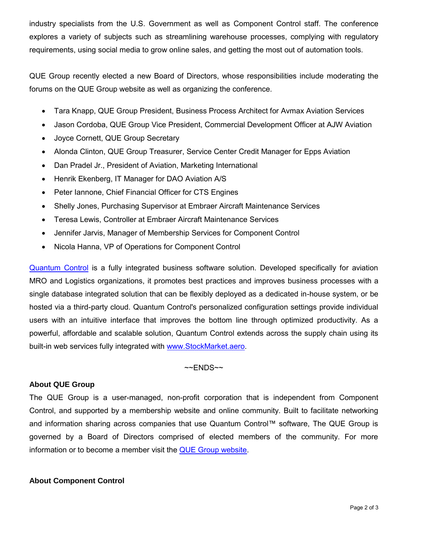industry specialists from the U.S. Government as well as Component Control staff. The conference explores a variety of subjects such as streamlining warehouse processes, complying with regulatory requirements, using social media to grow online sales, and getting the most out of automation tools.

QUE Group recently elected a new Board of Directors, whose responsibilities include moderating the forums on the QUE Group website as well as organizing the conference.

- Tara Knapp, QUE Group President, Business Process Architect for Avmax Aviation Services
- Jason Cordoba, QUE Group Vice President, Commercial Development Officer at AJW Aviation
- Joyce Cornett, QUE Group Secretary
- Alonda Clinton, QUE Group Treasurer, Service Center Credit Manager for Epps Aviation
- Dan Pradel Jr., President of Aviation, Marketing International
- Henrik Ekenberg, IT Manager for DAO Aviation A/S
- Peter Iannone, Chief Financial Officer for CTS Engines
- Shelly Jones, Purchasing Supervisor at Embraer Aircraft Maintenance Services
- Teresa Lewis, Controller at Embraer Aircraft Maintenance Services
- Jennifer Jarvis, Manager of Membership Services for Component Control
- Nicola Hanna, VP of Operations for Component Control

[Quantum Control](http://www.componentcontrol.com/products/quantum) is a fully integrated business software solution. Developed specifically for aviation MRO and Logistics organizations, it promotes best practices and improves business processes with a single database integrated solution that can be flexibly deployed as a dedicated in-house system, or be hosted via a third-party cloud. Quantum Control's personalized configuration settings provide individual users with an intuitive interface that improves the bottom line through optimized productivity. As a powerful, affordable and scalable solution, Quantum Control extends across the supply chain using its built-in web services fully integrated with [www.StockMarket.aero.](http://www.stockmarket.aero/)

 $~\sim$ ENDS $~\sim$ 

## **About QUE Group**

The QUE Group is a user-managed, non-profit corporation that is independent from Component Control, and supported by a membership website and online community. Built to facilitate networking and information sharing across companies that use Quantum Control™ software, The QUE Group is governed by a Board of Directors comprised of elected members of the community. For more information or to become a member visit the **QUE Group website**.

## **About Component Control**